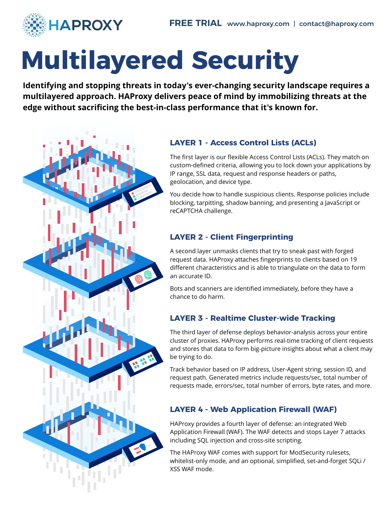

# **Multilayered Security**

**Identifying and stopping threats in today's ever-changing security landscape requires a multilayered approach. HAProxy delivers peace of mind by immobilizing threats at the edge without sacrificing the best-in-class performance that it's known for.**

## **LAYER 1 - Access Control Lists (ACLs)**

The first layer is our flexible Access Control Lists (ACLs). They match on custom-defined criteria, allowing you to lock down your applications by IP range, SSL data, request and response headers or paths, geolocation, and device type.

You decide how to handle suspicious clients. Response policies include blocking, tarpitting, shadow banning, and presenting a JavaScript or reCAPTCHA challenge.

## **LAYER 2 - Client Fingerprinting**

A second layer unmasks clients that try to sneak past with forged request data. HAProxy attaches fingerprints to clients based on 19 different characteristics and is able to triangulate on the data to form an accurate ID.

Bots and scanners are identified immediately, before they have a chance to do harm.

## **LAYER 3 - Realtime Cluster-wide Tracking**

The third layer of defense deploys behavior-analysis across your entire cluster of proxies. HAProxy performs real-time tracking of client requests and stores that data to form big-picture insights about what a client may be trying to do.

Track behavior based on IP address, User-Agent string, session ID, and request path. Generated metrics include requests/sec, total number of requests made, errors/sec, total number of errors, byte rates, and more.

## **LAYER 4 - Web Application Firewall (WAF)**

HAProxy provides a fourth layer of defense: an integrated Web Application Firewall (WAF). The WAF detects and stops Layer 7 attacks including SQL injection and cross-site scripting.

The HAProxy WAF comes with support for ModSecurity rulesets, whitelist-only mode, and an optional, simplified, set-and-forget SQLi / XSS WAF mode.